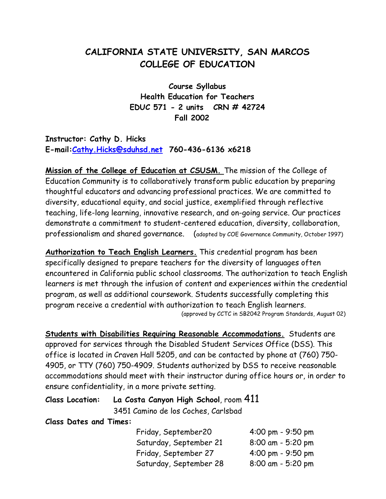# **CALIFORNIA STATE UNIVERSITY, SAN MARCOS COLLEGE OF EDUCATION**

**Course Syllabus Health Education for Teachers EDUC 571 - 2 units CRN # 42724 Fall 2002**

**Instructor: Cathy D. Hicks E-mail[:Cathy.Hicks@sduhsd.net](mailto:Cathy.Hicks@sduhsd.net) 760-436-6136 x6218**

**Mission of the College of Education at CSUSM.** The mission of the College of Education Community is to collaboratively transform public education by preparing thoughtful educators and advancing professional practices. We are committed to diversity, educational equity, and social justice, exemplified through reflective teaching, life-long learning, innovative research, and on-going service. Our practices demonstrate a commitment to student-centered education, diversity, collaboration, professionalism and shared governance. (adopted by COE Governance Community, October 1997)

**Authorization to Teach English Learners.** This credential program has been specifically designed to prepare teachers for the diversity of languages often encountered in California public school classrooms. The authorization to teach English learners is met through the infusion of content and experiences within the credential program, as well as additional coursework. Students successfully completing this program receive a credential with authorization to teach English learners. (approved by CCTC in SB2042 Program Standards, August 02)

**Students with Disabilities Requiring Reasonable Accommodations.** Students are approved for services through the Disabled Student Services Office (DSS). This office is located in Craven Hall 5205, and can be contacted by phone at (760) 750- 4905, or TTY (760) 750-4909. Students authorized by DSS to receive reasonable accommodations should meet with their instructor during office hours or, in order to ensure confidentiality, in a more private setting.

|  | Class Location: La Costa Canyon High School, room 411 |  |  |  |  |  |  |
|--|-------------------------------------------------------|--|--|--|--|--|--|
|--|-------------------------------------------------------|--|--|--|--|--|--|

3451 Camino de los Coches, Carlsbad

**Class Dates and Times:** 

| Friday, September20    | 4:00 pm - 9:50 pm |
|------------------------|-------------------|
| Saturday, September 21 | 8:00 am - 5:20 pm |
| Friday, September 27   | 4:00 pm - 9:50 pm |
| Saturday, September 28 | 8:00 am - 5:20 pm |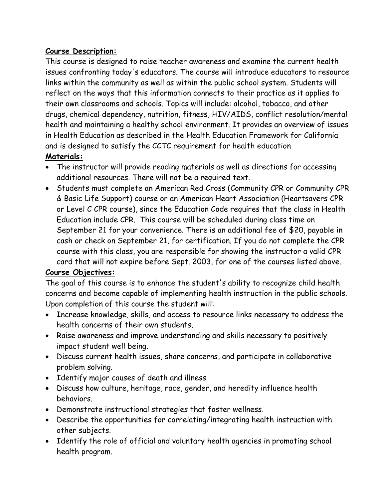# **Course Description:**

This course is designed to raise teacher awareness and examine the current health issues confronting today's educators. The course will introduce educators to resource links within the community as well as within the public school system. Students will reflect on the ways that this information connects to their practice as it applies to their own classrooms and schools. Topics will include: alcohol, tobacco, and other drugs, chemical dependency, nutrition, fitness, HIV/AIDS, conflict resolution/mental health and maintaining a healthy school environment. It provides an overview of issues in Health Education as described in the Health Education Framework for California and is designed to satisfy the CCTC requirement for health education **Materials:**

- The instructor will provide reading materials as well as directions for accessing additional resources. There will not be a required text.
- Students must complete an American Red Cross (Community CPR or Community CPR & Basic Life Support) course or an American Heart Association (Heartsavers CPR or Level C CPR course), since the Education Code requires that the class in Health Education include CPR. This course will be scheduled during class time on September 21 for your convenience. There is an additional fee of \$20, payable in cash or check on September 21, for certification. If you do not complete the CPR course with this class, you are responsible for showing the instructor a valid CPR card that will not expire before Sept. 2003, for one of the courses listed above.

# **Course Objectives:**

The goal of this course is to enhance the student's ability to recognize child health concerns and become capable of implementing health instruction in the public schools. Upon completion of this course the student will:

- Increase knowledge, skills, and access to resource links necessary to address the health concerns of their own students.
- Raise awareness and improve understanding and skills necessary to positively impact student well being.
- Discuss current health issues, share concerns, and participate in collaborative problem solving.
- Identify major causes of death and illness
- Discuss how culture, heritage, race, gender, and heredity influence health behaviors.
- Demonstrate instructional strategies that foster wellness.
- Describe the opportunities for correlating/integrating health instruction with other subjects.
- Identify the role of official and voluntary health agencies in promoting school health program.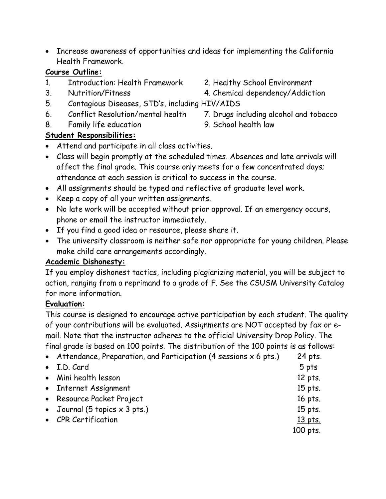• Increase awareness of opportunities and ideas for implementing the California Health Framework.

#### **Course Outline:**

- 1. Introduction: Health Framework 2. Healthy School Environment
- 
- 5. Contagious Diseases, STD's, including HIV/AIDS
- 6. Conflict Resolution/mental health 7. Drugs including alcohol and tobacco
- 8. Family life education 9. School health law

# **Student Responsibilities:**

- Attend and participate in all class activities.
- Class will begin promptly at the scheduled times. Absences and late arrivals will affect the final grade. This course only meets for a few concentrated days; attendance at each session is critical to success in the course.
- All assignments should be typed and reflective of graduate level work.
- Keep a copy of all your written assignments.
- No late work will be accepted without prior approval. If an emergency occurs, phone or email the instructor immediately.
- If you find a good idea or resource, please share it.
- The university classroom is neither safe nor appropriate for young children. Please make child care arrangements accordingly.

### **Academic Dishonesty:**

If you employ dishonest tactics, including plagiarizing material, you will be subject to action, ranging from a reprimand to a grade of F. See the CSUSM University Catalog for more information.

### **Evaluation:**

This course is designed to encourage active participation by each student. The quality of your contributions will be evaluated. Assignments are NOT accepted by fax or email. Note that the instructor adheres to the official University Drop Policy. The final grade is based on 100 points. The distribution of the 100 points is as follows:

| • Attendance, Preparation, and Participation (4 sessions $x$ 6 pts.) | 24 pts.   |
|----------------------------------------------------------------------|-----------|
| • I.D. Card                                                          | 5 pts     |
| • Mini health lesson                                                 | 12 pts.   |
| • Internet Assignment                                                | $15$ pts. |
| • Resource Packet Project                                            | 16 pts.   |
| • Journal (5 topics $\times$ 3 pts.)                                 | 15 pts.   |
| • CPR Certification                                                  | 13 pts.   |
|                                                                      | 100 pts.  |

- 
- 3. Nutrition/Fitness 4. Chemical dependency/Addiction
	-
	-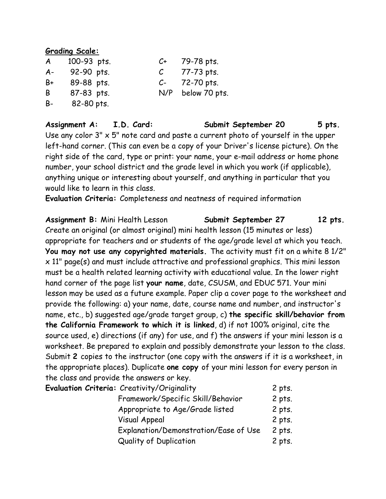#### **Grading Scale:**

| $\mathcal{A}$ | 100-93 pts. | C+            | 79-78 pts.        |
|---------------|-------------|---------------|-------------------|
| $A -$         | 92-90 pts.  | $\mathcal{C}$ | 77-73 pts.        |
| B+            | 89-88 pts.  | $C-$          | 72-70 pts.        |
| B             | 87-83 pts.  |               | N/P below 70 pts. |
| B-            | 82-80 pts.  |               |                   |

**Assignment A: I.D. Card: Submit September 20 5 pts.** Use any color  $3'' \times 5''$  note card and paste a current photo of yourself in the upper left-hand corner. (This can even be a copy of your Driver's license picture). On the right side of the card, type or print: your name, your e-mail address or home phone number, your school district and the grade level in which you work (if applicable), anything unique or interesting about yourself, and anything in particular that you would like to learn in this class.

**Evaluation Criteria:** Completeness and neatness of required information

**Assignment B:** Mini Health Lesson **Submit September 27 12 pts.** Create an original (or almost original) mini health lesson (15 minutes or less) appropriate for teachers and or students of the age/grade level at which you teach. **You may not use any copyrighted materials.** The activity must fit on a white 8 1/2" x 11" page(s) and must include attractive and professional graphics. This mini lesson must be a health related learning activity with educational value. In the lower right hand corner of the page list **your name**, date, CSUSM, and EDUC 571. Your mini lesson may be used as a future example. Paper clip a cover page to the worksheet and provide the following: a) your name, date, course name and number, and instructor's name, etc., b) suggested age/grade target group, c) **the specific skill/behavior from the California Framework to which it is linked**, d) if not 100% original, cite the source used, e) directions (if any) for use, and f) the answers if your mini lesson is a worksheet. Be prepared to explain and possibly demonstrate your lesson to the class. Submit **2** copies to the instructor (one copy with the answers if it is a worksheet, in the appropriate places). Duplicate **one copy** of your mini lesson for every person in the class and provide the answers or key.

| <b>Evaluation Criteria:</b> Creativity/Originality | 2 pts.   |
|----------------------------------------------------|----------|
| Framework/Specific Skill/Behavior                  | 2 pts.   |
| Appropriate to Age/Grade listed                    | 2 pts.   |
| <b>Visual Appeal</b>                               | 2 pts.   |
| Explanation/Demonstration/Ease of Use              | $2$ pts. |
| Quality of Duplication                             | 2 pts.   |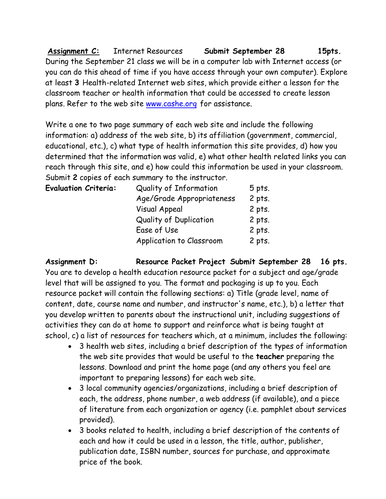**Assignment C:** Internet Resources **Submit September 28 15pts.** During the September 21 class we will be in a computer lab with Internet access (or you can do this ahead of time if you have access through your own computer). Explore at least **3** Health-related Internet web sites, which provide either a lesson for the classroom teacher or health information that could be accessed to create lesson plans. Refer to the web site [www.cashe.org](http://www.cashe.org/) for assistance.

Write a one to two page summary of each web site and include the following information: a) address of the web site, b) its affiliation (government, commercial, educational, etc.), c) what type of health information this site provides, d) how you determined that the information was valid, e) what other health related links you can reach through this site, and e) how could this information be used in your classroom. Submit **2** copies of each summary to the instructor.

| Quality of Information        | 5 pts. |
|-------------------------------|--------|
| Age/Grade Appropriateness     | 2 pts. |
| <b>Visual Appeal</b>          | 2 pts. |
| <b>Quality of Duplication</b> | 2 pts. |
| Ease of Use                   | 2 pts. |
| Application to Classroom      | 2 pts. |
|                               |        |

**Assignment D: Resource Packet Project Submit September 28 16 pts.** You are to develop a health education resource packet for a subject and age/grade level that will be assigned to you. The format and packaging is up to you. Each resource packet will contain the following sections: a) Title (grade level, name of content, date, course name and number, and instructor's name, etc.), b) a letter that you develop written to parents about the instructional unit, including suggestions of activities they can do at home to support and reinforce what is being taught at school, c) a list of resources for teachers which, at a minimum, includes the following:

- 3 health web sites, including a brief description of the types of information the web site provides that would be useful to the **teacher** preparing the lessons. Download and print the home page (and any others you feel are important to preparing lessons) for each web site.
- 3 local community agencies/organizations, including a brief description of each, the address, phone number, a web address (if available), and a piece of literature from each organization or agency (i.e. pamphlet about services provided).
- 3 books related to health, including a brief description of the contents of each and how it could be used in a lesson, the title, author, publisher, publication date, ISBN number, sources for purchase, and approximate price of the book.